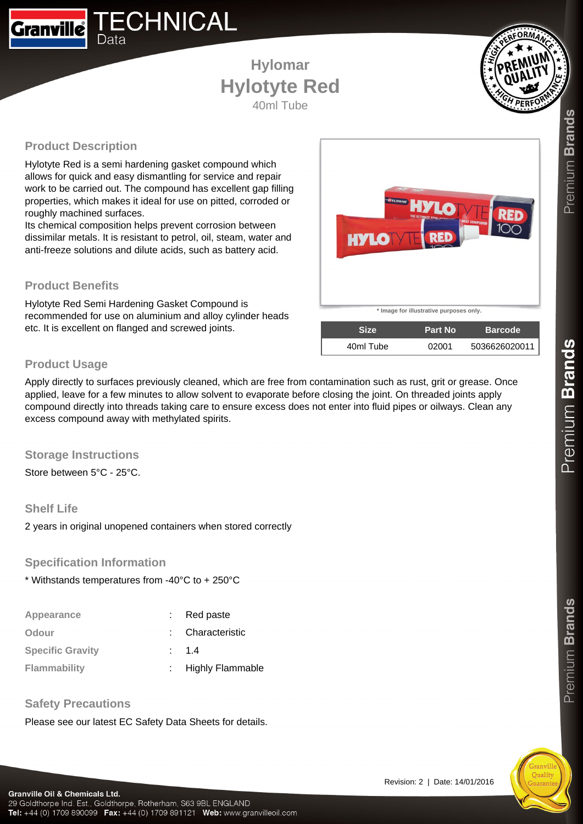

## **Hylomar Hylotyte Red** 40ml Tube



## **Product Description**

Hylotyte Red is a semi hardening gasket compound which allows for quick and easy dismantling for service and repair work to be carried out. The compound has excellent gap filling properties, which makes it ideal for use on pitted, corroded or roughly machined surfaces.

Its chemical composition helps prevent corrosion between dissimilar metals. It is resistant to petrol, oil, steam, water and anti-freeze solutions and dilute acids, such as battery acid.

### **Product Benefits**

Hylotyte Red Semi Hardening Gasket Compound is recommended for use on aluminium and alloy cylinder heads etc. It is excellent on flanged and screwed joints.



| <b>Size</b> | <b>Part No</b> | <b>Barcode</b> |
|-------------|----------------|----------------|
| 40ml Tube   | 02001          | 5036626020011  |

## **Product Usage**

Apply directly to surfaces previously cleaned, which are free from contamination such as rust, grit or grease. Once applied, leave for a few minutes to allow solvent to evaporate before closing the joint. On threaded joints apply compound directly into threads taking care to ensure excess does not enter into fluid pipes or oilways. Clean any excess compound away with methylated spirits.

#### **Storage Instructions**

Store between 5°C - 25°C.

#### **Shelf Life**

2 years in original unopened containers when stored correctly

#### **Specification Information**

\* Withstands temperatures from -40°C to + 250°C

| Red paste          |
|--------------------|
| : Characteristic   |
| : 1.4              |
| : Highly Flammable |
|                    |

#### **Safety Precautions**

Please see our latest EC Safety Data Sheets for details.